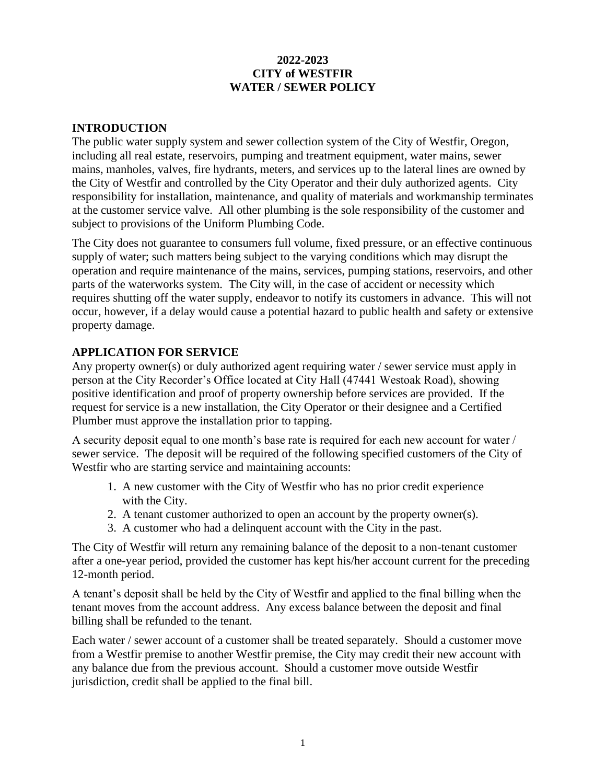# **2022-2023 CITY of WESTFIR WATER / SEWER POLICY**

# **INTRODUCTION**

The public water supply system and sewer collection system of the City of Westfir, Oregon, including all real estate, reservoirs, pumping and treatment equipment, water mains, sewer mains, manholes, valves, fire hydrants, meters, and services up to the lateral lines are owned by the City of Westfir and controlled by the City Operator and their duly authorized agents. City responsibility for installation, maintenance, and quality of materials and workmanship terminates at the customer service valve. All other plumbing is the sole responsibility of the customer and subject to provisions of the Uniform Plumbing Code.

The City does not guarantee to consumers full volume, fixed pressure, or an effective continuous supply of water; such matters being subject to the varying conditions which may disrupt the operation and require maintenance of the mains, services, pumping stations, reservoirs, and other parts of the waterworks system. The City will, in the case of accident or necessity which requires shutting off the water supply, endeavor to notify its customers in advance. This will not occur, however, if a delay would cause a potential hazard to public health and safety or extensive property damage.

# **APPLICATION FOR SERVICE**

Any property owner(s) or duly authorized agent requiring water / sewer service must apply in person at the City Recorder's Office located at City Hall (47441 Westoak Road), showing positive identification and proof of property ownership before services are provided. If the request for service is a new installation, the City Operator or their designee and a Certified Plumber must approve the installation prior to tapping.

A security deposit equal to one month's base rate is required for each new account for water / sewer service. The deposit will be required of the following specified customers of the City of Westfir who are starting service and maintaining accounts:

- 1. A new customer with the City of Westfir who has no prior credit experience with the City.
- 2. A tenant customer authorized to open an account by the property owner(s).
- 3. A customer who had a delinquent account with the City in the past.

The City of Westfir will return any remaining balance of the deposit to a non-tenant customer after a one-year period, provided the customer has kept his/her account current for the preceding 12-month period.

A tenant's deposit shall be held by the City of Westfir and applied to the final billing when the tenant moves from the account address. Any excess balance between the deposit and final billing shall be refunded to the tenant.

Each water / sewer account of a customer shall be treated separately. Should a customer move from a Westfir premise to another Westfir premise, the City may credit their new account with any balance due from the previous account. Should a customer move outside Westfir jurisdiction, credit shall be applied to the final bill.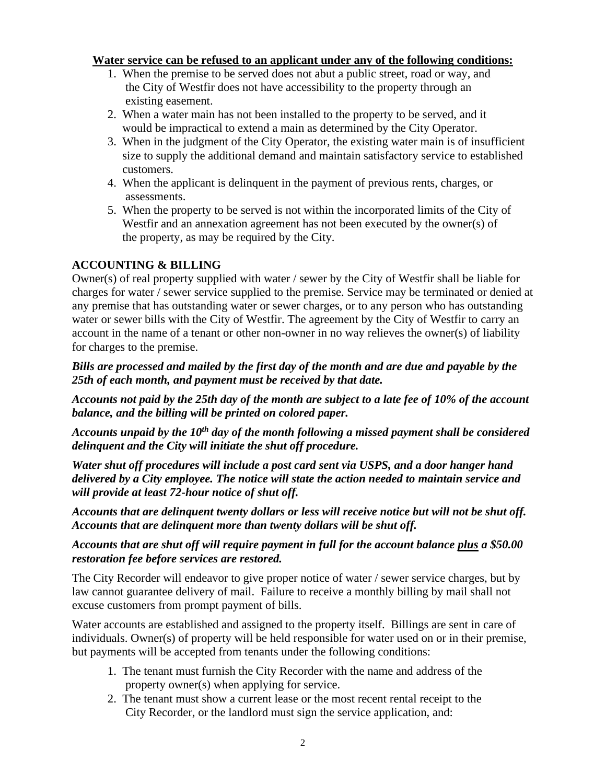## **Water service can be refused to an applicant under any of the following conditions:**

- 1. When the premise to be served does not abut a public street, road or way, and the City of Westfir does not have accessibility to the property through an existing easement.
- 2. When a water main has not been installed to the property to be served, and it would be impractical to extend a main as determined by the City Operator.
- 3. When in the judgment of the City Operator, the existing water main is of insufficient size to supply the additional demand and maintain satisfactory service to established customers.
- 4. When the applicant is delinquent in the payment of previous rents, charges, or assessments.
- 5. When the property to be served is not within the incorporated limits of the City of Westfir and an annexation agreement has not been executed by the owner(s) of the property, as may be required by the City.

# **ACCOUNTING & BILLING**

Owner(s) of real property supplied with water / sewer by the City of Westfir shall be liable for charges for water / sewer service supplied to the premise. Service may be terminated or denied at any premise that has outstanding water or sewer charges, or to any person who has outstanding water or sewer bills with the City of Westfir. The agreement by the City of Westfir to carry an account in the name of a tenant or other non-owner in no way relieves the owner(s) of liability for charges to the premise.

# *Bills are processed and mailed by the first day of the month and are due and payable by the 25th of each month, and payment must be received by that date.*

*Accounts not paid by the 25th day of the month are subject to a late fee of 10% of the account balance, and the billing will be printed on colored paper.*

*Accounts unpaid by the 10th day of the month following a missed payment shall be considered delinquent and the City will initiate the shut off procedure.*

*Water shut off procedures will include a post card sent via USPS, and a door hanger hand delivered by a City employee. The notice will state the action needed to maintain service and will provide at least 72-hour notice of shut off.*

*Accounts that are delinquent twenty dollars or less will receive notice but will not be shut off. Accounts that are delinquent more than twenty dollars will be shut off.*

# *Accounts that are shut off will require payment in full for the account balance plus a \$50.00 restoration fee before services are restored.*

The City Recorder will endeavor to give proper notice of water / sewer service charges, but by law cannot guarantee delivery of mail. Failure to receive a monthly billing by mail shall not excuse customers from prompt payment of bills.

Water accounts are established and assigned to the property itself. Billings are sent in care of individuals. Owner(s) of property will be held responsible for water used on or in their premise, but payments will be accepted from tenants under the following conditions:

- 1. The tenant must furnish the City Recorder with the name and address of the property owner(s) when applying for service.
- 2. The tenant must show a current lease or the most recent rental receipt to the City Recorder, or the landlord must sign the service application, and: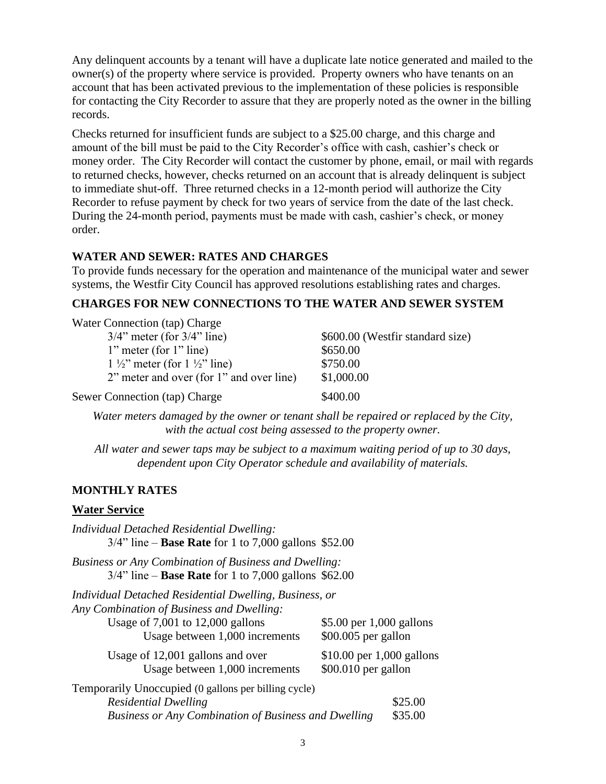Any delinquent accounts by a tenant will have a duplicate late notice generated and mailed to the owner(s) of the property where service is provided. Property owners who have tenants on an account that has been activated previous to the implementation of these policies is responsible for contacting the City Recorder to assure that they are properly noted as the owner in the billing records.

Checks returned for insufficient funds are subject to a \$25.00 charge, and this charge and amount of the bill must be paid to the City Recorder's office with cash, cashier's check or money order. The City Recorder will contact the customer by phone, email, or mail with regards to returned checks, however, checks returned on an account that is already delinquent is subject to immediate shut-off. Three returned checks in a 12-month period will authorize the City Recorder to refuse payment by check for two years of service from the date of the last check. During the 24-month period, payments must be made with cash, cashier's check, or money order.

## **WATER AND SEWER: RATES AND CHARGES**

To provide funds necessary for the operation and maintenance of the municipal water and sewer systems, the Westfir City Council has approved resolutions establishing rates and charges.

## **CHARGES FOR NEW CONNECTIONS TO THE WATER AND SEWER SYSTEM**

| Water Connection (tap) Charge                      |                                  |
|----------------------------------------------------|----------------------------------|
| $3/4$ " meter (for $3/4$ " line)                   | \$600.00 (Westfir standard size) |
| $1$ " meter (for $1$ " line)                       | \$650.00                         |
| $1\frac{1}{2}$ " meter (for $1\frac{1}{2}$ " line) | \$750.00                         |
| 2" meter and over (for 1" and over line)           | \$1,000.00                       |
| Sewer Connection (tap) Charge                      | \$400.00                         |

*Water meters damaged by the owner or tenant shall be repaired or replaced by the City, with the actual cost being assessed to the property owner.*

*All water and sewer taps may be subject to a maximum waiting period of up to 30 days, dependent upon City Operator schedule and availability of materials.*

## **MONTHLY RATES**

## **Water Service**

| Individual Detached Residential Dwelling:<br>$3/4$ " line – <b>Base Rate</b> for 1 to 7,000 gallons \$52.00                                                                   |                                                    |  |
|-------------------------------------------------------------------------------------------------------------------------------------------------------------------------------|----------------------------------------------------|--|
| <b>Business or Any Combination of Business and Dwelling:</b><br>$3/4$ " line – <b>Base Rate</b> for 1 to 7,000 gallons \$62.00                                                |                                                    |  |
| Individual Detached Residential Dwelling, Business, or<br>Any Combination of Business and Dwelling:<br>Usage of $7,001$ to $12,000$ gallons<br>Usage between 1,000 increments | \$5.00 per $1,000$ gallons<br>$$00.005$ per gallon |  |
| Usage of 12,001 gallons and over<br>Usage between 1,000 increments                                                                                                            | $$10.00$ per 1,000 gallons<br>$$00.010$ per gallon |  |
| Temporarily Unoccupied (0 gallons per billing cycle)<br><b>Residential Dwelling</b><br>Business or Any Combination of Business and Dwelling                                   | \$25.00<br>\$35.00                                 |  |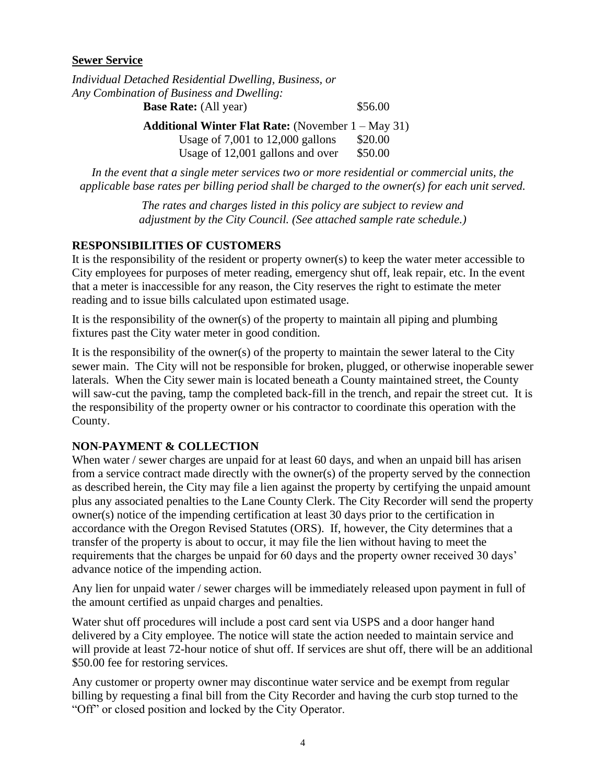## **Sewer Service**

| Individual Detached Residential Dwelling, Business, or       |         |  |
|--------------------------------------------------------------|---------|--|
| Any Combination of Business and Dwelling:                    |         |  |
| <b>Base Rate:</b> (All year)                                 | \$56.00 |  |
| <b>Additional Winter Flat Rate:</b> (November $1 - May 31$ ) |         |  |
| Usage of $7,001$ to $12,000$ gallons                         | \$20.00 |  |
| Usage of 12,001 gallons and over                             | \$50.00 |  |
|                                                              |         |  |

*In the event that a single meter services two or more residential or commercial units, the applicable base rates per billing period shall be charged to the owner(s) for each unit served.*

> *The rates and charges listed in this policy are subject to review and adjustment by the City Council. (See attached sample rate schedule.)*

# **RESPONSIBILITIES OF CUSTOMERS**

It is the responsibility of the resident or property owner(s) to keep the water meter accessible to City employees for purposes of meter reading, emergency shut off, leak repair, etc. In the event that a meter is inaccessible for any reason, the City reserves the right to estimate the meter reading and to issue bills calculated upon estimated usage.

It is the responsibility of the owner(s) of the property to maintain all piping and plumbing fixtures past the City water meter in good condition.

It is the responsibility of the owner(s) of the property to maintain the sewer lateral to the City sewer main. The City will not be responsible for broken, plugged, or otherwise inoperable sewer laterals. When the City sewer main is located beneath a County maintained street, the County will saw-cut the paving, tamp the completed back-fill in the trench, and repair the street cut. It is the responsibility of the property owner or his contractor to coordinate this operation with the County.

# **NON-PAYMENT & COLLECTION**

When water / sewer charges are unpaid for at least 60 days, and when an unpaid bill has arisen from a service contract made directly with the owner(s) of the property served by the connection as described herein, the City may file a lien against the property by certifying the unpaid amount plus any associated penalties to the Lane County Clerk. The City Recorder will send the property owner(s) notice of the impending certification at least 30 days prior to the certification in accordance with the Oregon Revised Statutes (ORS). If, however, the City determines that a transfer of the property is about to occur, it may file the lien without having to meet the requirements that the charges be unpaid for 60 days and the property owner received 30 days' advance notice of the impending action.

Any lien for unpaid water / sewer charges will be immediately released upon payment in full of the amount certified as unpaid charges and penalties.

Water shut off procedures will include a post card sent via USPS and a door hanger hand delivered by a City employee. The notice will state the action needed to maintain service and will provide at least 72-hour notice of shut off. If services are shut off, there will be an additional \$50.00 fee for restoring services.

Any customer or property owner may discontinue water service and be exempt from regular billing by requesting a final bill from the City Recorder and having the curb stop turned to the "Off" or closed position and locked by the City Operator.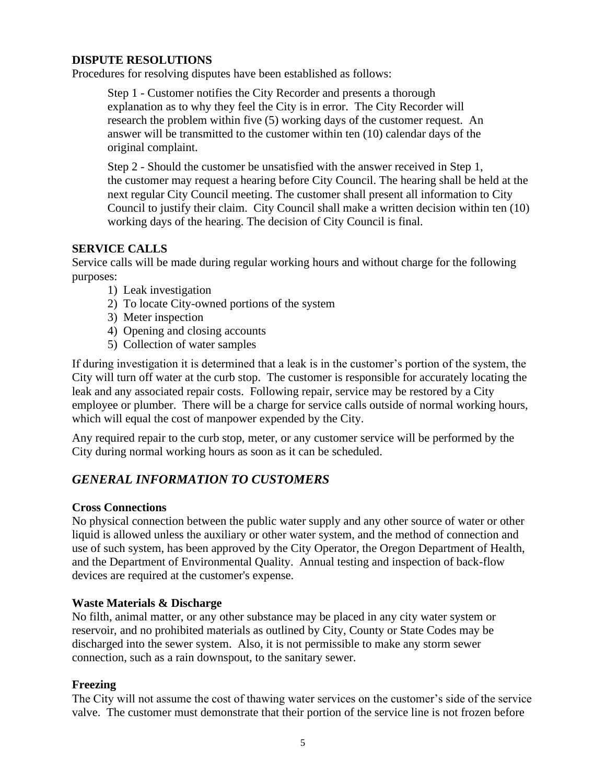## **DISPUTE RESOLUTIONS**

Procedures for resolving disputes have been established as follows:

Step 1 - Customer notifies the City Recorder and presents a thorough explanation as to why they feel the City is in error. The City Recorder will research the problem within five (5) working days of the customer request. An answer will be transmitted to the customer within ten (10) calendar days of the original complaint.

Step 2 - Should the customer be unsatisfied with the answer received in Step 1, the customer may request a hearing before City Council. The hearing shall be held at the next regular City Council meeting. The customer shall present all information to City Council to justify their claim. City Council shall make a written decision within ten (10) working days of the hearing. The decision of City Council is final.

## **SERVICE CALLS**

Service calls will be made during regular working hours and without charge for the following purposes:

- 1) Leak investigation
- 2) To locate City-owned portions of the system
- 3) Meter inspection
- 4) Opening and closing accounts
- 5) Collection of water samples

If during investigation it is determined that a leak is in the customer's portion of the system, the City will turn off water at the curb stop. The customer is responsible for accurately locating the leak and any associated repair costs. Following repair, service may be restored by a City employee or plumber. There will be a charge for service calls outside of normal working hours, which will equal the cost of manpower expended by the City.

Any required repair to the curb stop, meter, or any customer service will be performed by the City during normal working hours as soon as it can be scheduled.

# *GENERAL INFORMATION TO CUSTOMERS*

## **Cross Connections**

No physical connection between the public water supply and any other source of water or other liquid is allowed unless the auxiliary or other water system, and the method of connection and use of such system, has been approved by the City Operator, the Oregon Department of Health, and the Department of Environmental Quality. Annual testing and inspection of back-flow devices are required at the customer's expense.

## **Waste Materials & Discharge**

No filth, animal matter, or any other substance may be placed in any city water system or reservoir, and no prohibited materials as outlined by City, County or State Codes may be discharged into the sewer system. Also, it is not permissible to make any storm sewer connection, such as a rain downspout, to the sanitary sewer.

## **Freezing**

The City will not assume the cost of thawing water services on the customer's side of the service valve. The customer must demonstrate that their portion of the service line is not frozen before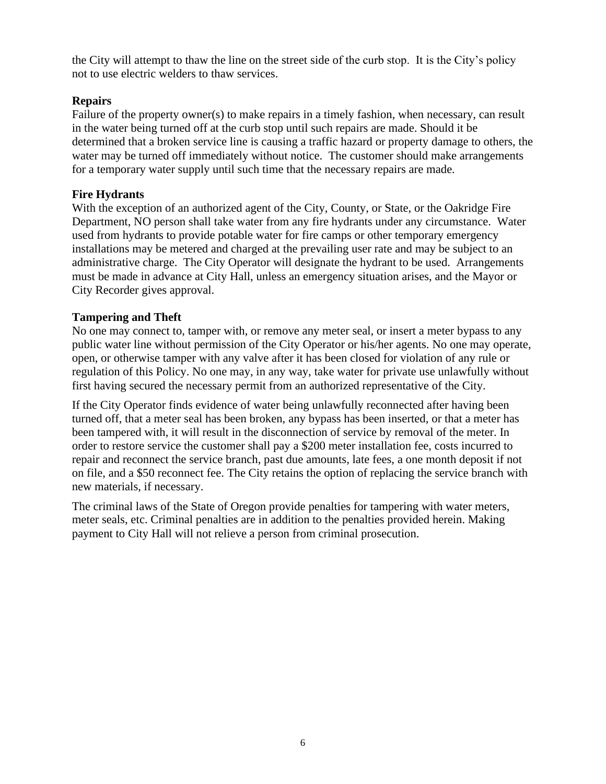the City will attempt to thaw the line on the street side of the curb stop. It is the City's policy not to use electric welders to thaw services.

# **Repairs**

Failure of the property owner(s) to make repairs in a timely fashion, when necessary, can result in the water being turned off at the curb stop until such repairs are made. Should it be determined that a broken service line is causing a traffic hazard or property damage to others, the water may be turned off immediately without notice. The customer should make arrangements for a temporary water supply until such time that the necessary repairs are made.

# **Fire Hydrants**

With the exception of an authorized agent of the City, County, or State, or the Oakridge Fire Department, NO person shall take water from any fire hydrants under any circumstance. Water used from hydrants to provide potable water for fire camps or other temporary emergency installations may be metered and charged at the prevailing user rate and may be subject to an administrative charge. The City Operator will designate the hydrant to be used. Arrangements must be made in advance at City Hall, unless an emergency situation arises, and the Mayor or City Recorder gives approval.

# **Tampering and Theft**

No one may connect to, tamper with, or remove any meter seal, or insert a meter bypass to any public water line without permission of the City Operator or his/her agents. No one may operate, open, or otherwise tamper with any valve after it has been closed for violation of any rule or regulation of this Policy. No one may, in any way, take water for private use unlawfully without first having secured the necessary permit from an authorized representative of the City.

If the City Operator finds evidence of water being unlawfully reconnected after having been turned off, that a meter seal has been broken, any bypass has been inserted, or that a meter has been tampered with, it will result in the disconnection of service by removal of the meter. In order to restore service the customer shall pay a \$200 meter installation fee, costs incurred to repair and reconnect the service branch, past due amounts, late fees, a one month deposit if not on file, and a \$50 reconnect fee. The City retains the option of replacing the service branch with new materials, if necessary.

The criminal laws of the State of Oregon provide penalties for tampering with water meters, meter seals, etc. Criminal penalties are in addition to the penalties provided herein. Making payment to City Hall will not relieve a person from criminal prosecution.